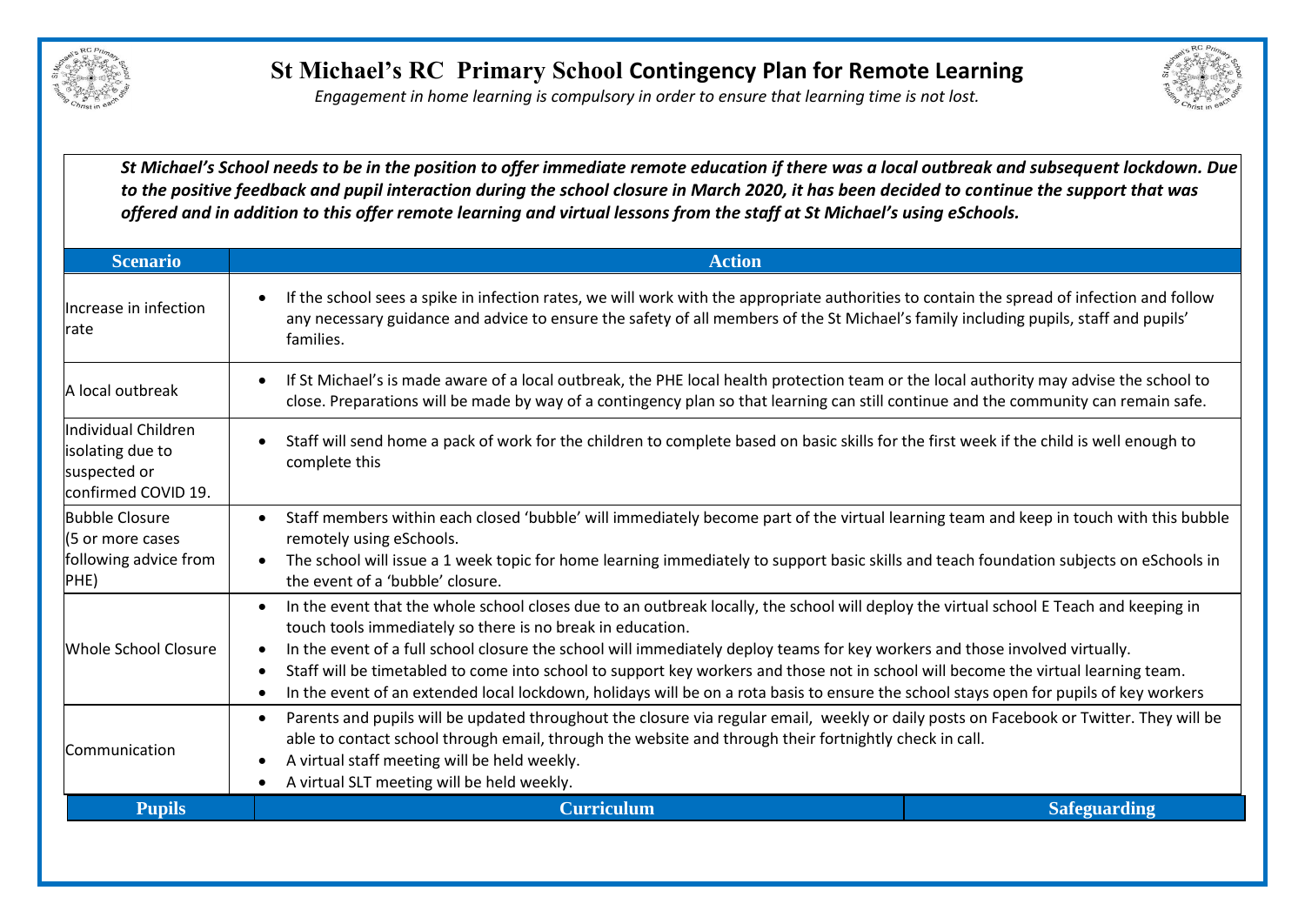

*Engagement in home learning is compulsory in order to ensure that learning time is not lost.*



*St Michael's School needs to be in the position to offer immediate remote education if there was a local outbreak and subsequent lockdown. Due to the positive feedback and pupil interaction during the school closure in March 2020, it has been decided to continue the support that was offered and in addition to this offer remote learning and virtual lessons from the staff at St Michael's using eSchools.* 

| <b>Scenario</b>                                                                | <b>Action</b>                                                                                                                                                                                                                                                                                                                                                                                                                                                                                                                                                                                                                     |  |  |
|--------------------------------------------------------------------------------|-----------------------------------------------------------------------------------------------------------------------------------------------------------------------------------------------------------------------------------------------------------------------------------------------------------------------------------------------------------------------------------------------------------------------------------------------------------------------------------------------------------------------------------------------------------------------------------------------------------------------------------|--|--|
| Increase in infection<br>rate                                                  | If the school sees a spike in infection rates, we will work with the appropriate authorities to contain the spread of infection and follow<br>any necessary guidance and advice to ensure the safety of all members of the St Michael's family including pupils, staff and pupils'<br>families.                                                                                                                                                                                                                                                                                                                                   |  |  |
| A local outbreak                                                               | If St Michael's is made aware of a local outbreak, the PHE local health protection team or the local authority may advise the school to<br>close. Preparations will be made by way of a contingency plan so that learning can still continue and the community can remain safe.                                                                                                                                                                                                                                                                                                                                                   |  |  |
| Individual Children<br>isolating due to<br>suspected or<br>confirmed COVID 19. | Staff will send home a pack of work for the children to complete based on basic skills for the first week if the child is well enough to<br>complete this                                                                                                                                                                                                                                                                                                                                                                                                                                                                         |  |  |
| <b>Bubble Closure</b><br>(5 or more cases<br>following advice from<br>PHE)     | Staff members within each closed 'bubble' will immediately become part of the virtual learning team and keep in touch with this bubble<br>$\bullet$<br>remotely using eSchools.<br>The school will issue a 1 week topic for home learning immediately to support basic skills and teach foundation subjects on eSchools in<br>the event of a 'bubble' closure.                                                                                                                                                                                                                                                                    |  |  |
| Whole School Closure                                                           | In the event that the whole school closes due to an outbreak locally, the school will deploy the virtual school E Teach and keeping in<br>$\bullet$<br>touch tools immediately so there is no break in education.<br>In the event of a full school closure the school will immediately deploy teams for key workers and those involved virtually.<br>Staff will be timetabled to come into school to support key workers and those not in school will become the virtual learning team.<br>In the event of an extended local lockdown, holidays will be on a rota basis to ensure the school stays open for pupils of key workers |  |  |
| <b>Communication</b>                                                           | Parents and pupils will be updated throughout the closure via regular email, weekly or daily posts on Facebook or Twitter. They will be<br>$\bullet$<br>able to contact school through email, through the website and through their fortnightly check in call.<br>A virtual staff meeting will be held weekly.<br>$\bullet$<br>A virtual SLT meeting will be held weekly.                                                                                                                                                                                                                                                         |  |  |
| <b>Pupils</b>                                                                  | <b>Curriculum</b><br><b>Safeguarding</b>                                                                                                                                                                                                                                                                                                                                                                                                                                                                                                                                                                                          |  |  |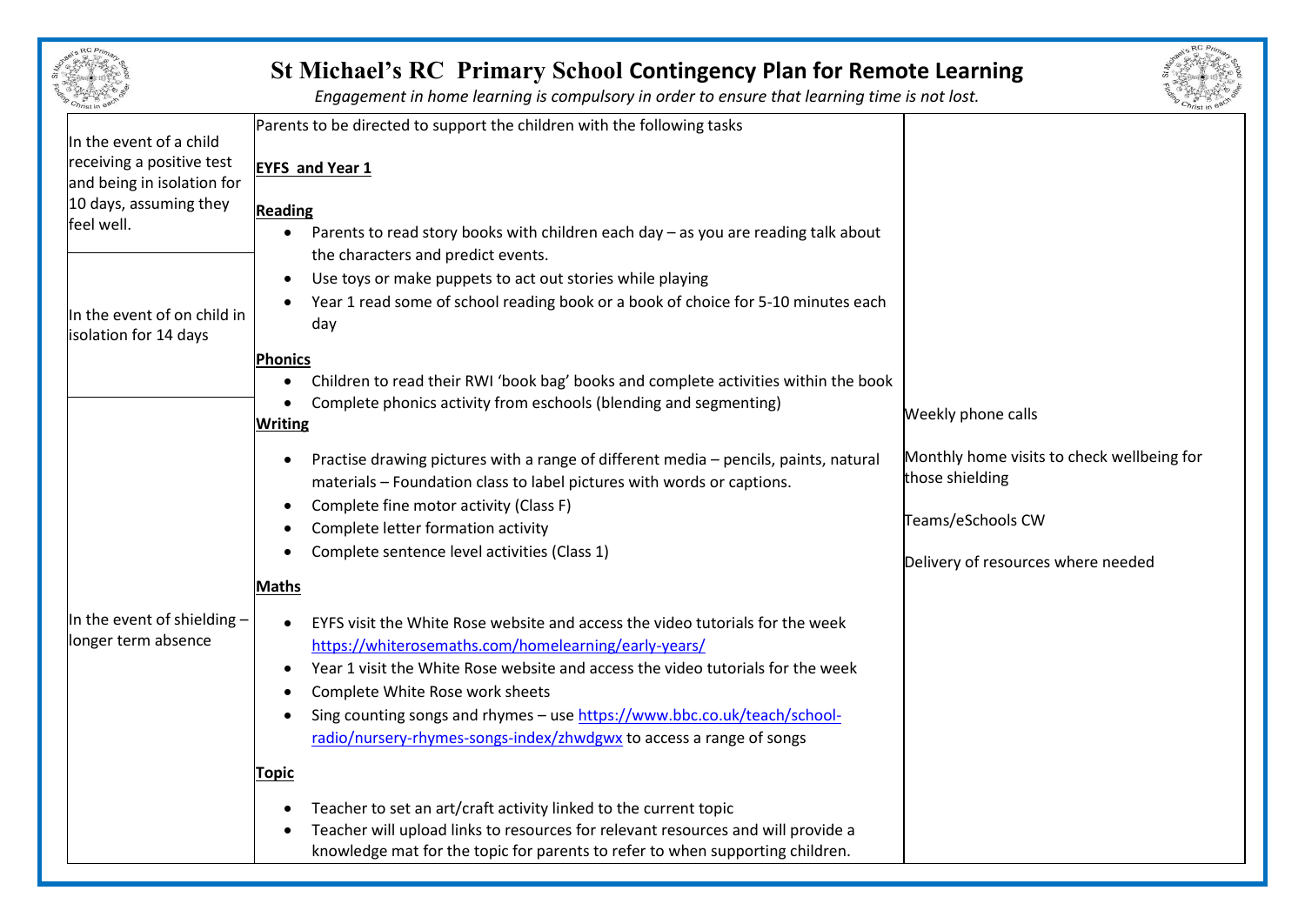|                                                                                                                            | <b>St Michael's RC Primary School Contingency Plan for Remote Learning</b><br>Engagement in home learning is compulsory in order to ensure that learning time is not lost.                                                                                                                                                                                                                                                     |                                                                                                                          |
|----------------------------------------------------------------------------------------------------------------------------|--------------------------------------------------------------------------------------------------------------------------------------------------------------------------------------------------------------------------------------------------------------------------------------------------------------------------------------------------------------------------------------------------------------------------------|--------------------------------------------------------------------------------------------------------------------------|
| In the event of a child<br>receiving a positive test<br>and being in isolation for<br>10 days, assuming they<br>feel well. | Parents to be directed to support the children with the following tasks<br><b>EYFS and Year 1</b><br><b>Reading</b><br>Parents to read story books with children each day - as you are reading talk about                                                                                                                                                                                                                      |                                                                                                                          |
| In the event of on child in<br>isolation for 14 days                                                                       | the characters and predict events.<br>Use toys or make puppets to act out stories while playing<br>$\bullet$<br>Year 1 read some of school reading book or a book of choice for 5-10 minutes each<br>day<br>Phonics                                                                                                                                                                                                            |                                                                                                                          |
|                                                                                                                            | Children to read their RWI 'book bag' books and complete activities within the book<br>Complete phonics activity from eschools (blending and segmenting)<br><b>Writing</b>                                                                                                                                                                                                                                                     | Weekly phone calls                                                                                                       |
|                                                                                                                            | Practise drawing pictures with a range of different media - pencils, paints, natural<br>materials - Foundation class to label pictures with words or captions.<br>Complete fine motor activity (Class F)<br>Complete letter formation activity<br>Complete sentence level activities (Class 1)                                                                                                                                 | Monthly home visits to check wellbeing for<br>those shielding<br>Teams/eSchools CW<br>Delivery of resources where needed |
| In the event of shielding $-$<br>longer term absence                                                                       | <b>Maths</b><br>EYFS visit the White Rose website and access the video tutorials for the week<br>https://whiterosemaths.com/homelearning/early-years/<br>Year 1 visit the White Rose website and access the video tutorials for the week<br>Complete White Rose work sheets<br>Sing counting songs and rhymes - use https://www.bbc.co.uk/teach/school-<br>radio/nursery-rhymes-songs-index/zhwdgwx to access a range of songs |                                                                                                                          |
|                                                                                                                            | <b>Topic</b><br>Teacher to set an art/craft activity linked to the current topic<br>Teacher will upload links to resources for relevant resources and will provide a<br>knowledge mat for the topic for parents to refer to when supporting children.                                                                                                                                                                          |                                                                                                                          |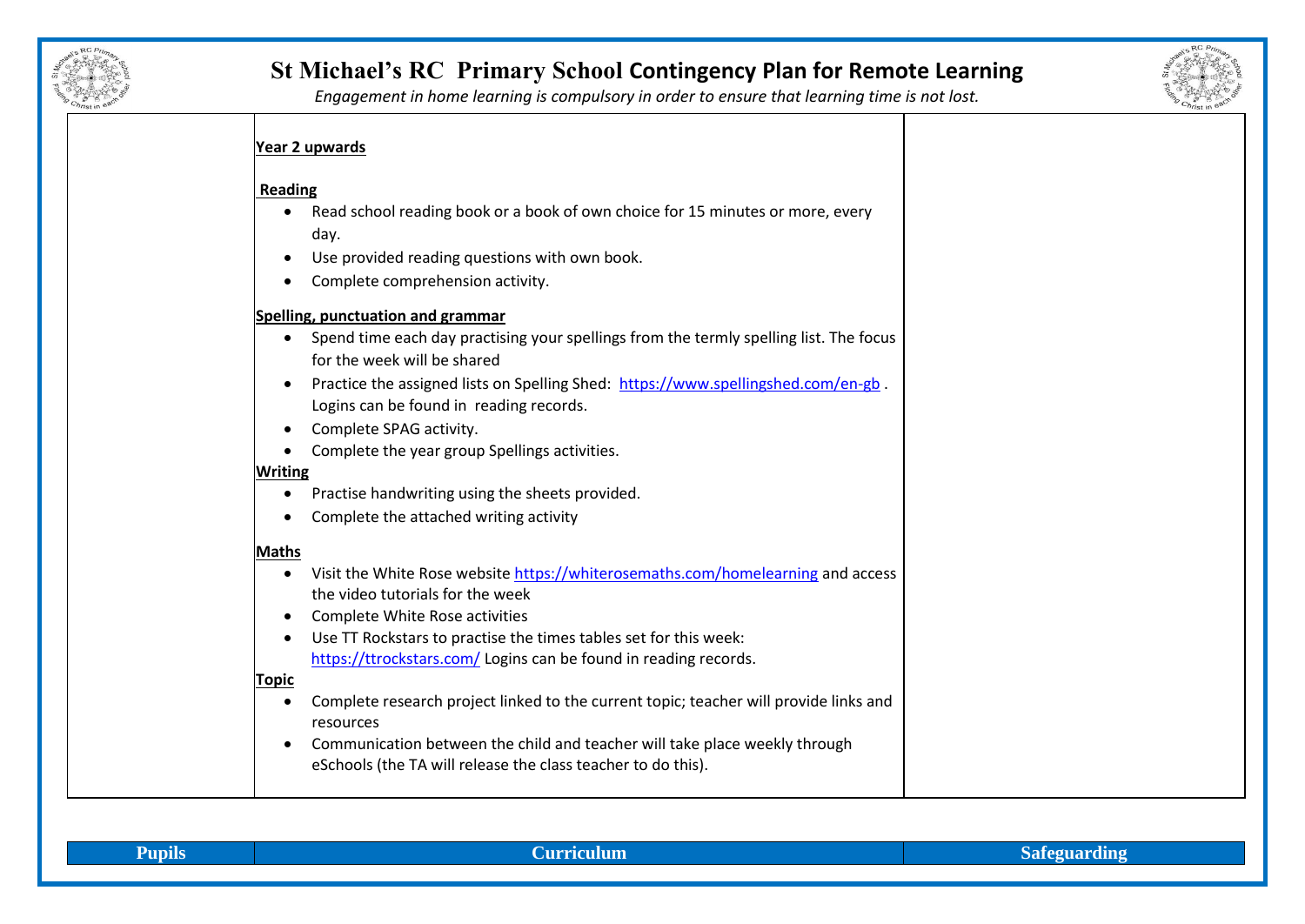

## **St Michael's RC Primary School Contingency Plan for Remote Learning**



*Engagement in home learning is compulsory in order to ensure that learning time is not lost.*

### **Year 2 upwards**

### **Reading**

- Read school reading book or a book of own choice for 15 minutes or more, every day.
- Use provided reading questions with own book.
- Complete comprehension activity.

#### **Spelling, punctuation and grammar**

- Spend time each day practising your spellings from the termly spelling list. The focus for the week will be shared
- Practice the assigned lists on Spelling Shed: <https://www.spellingshed.com/en-gb> . Logins can be found in reading records.
- Complete SPAG activity.
- Complete the year group Spellings activities.

#### **Writing**

- Practise handwriting using the sheets provided.
- Complete the attached writing activity

#### **Maths**

- Visit the White Rose websit[e https://whiterosemaths.com/homelearning](https://whiterosemaths.com/homelearning) and access the video tutorials for the week
- Complete White Rose activities
- Use TT Rockstars to practise the times tables set for this week: <https://ttrockstars.com/> Logins can be found in reading records.

#### **Topic**

- Complete research project linked to the current topic; teacher will provide links and resources
- Communication between the child and teacher will take place weekly through eSchools (the TA will release the class teacher to do this).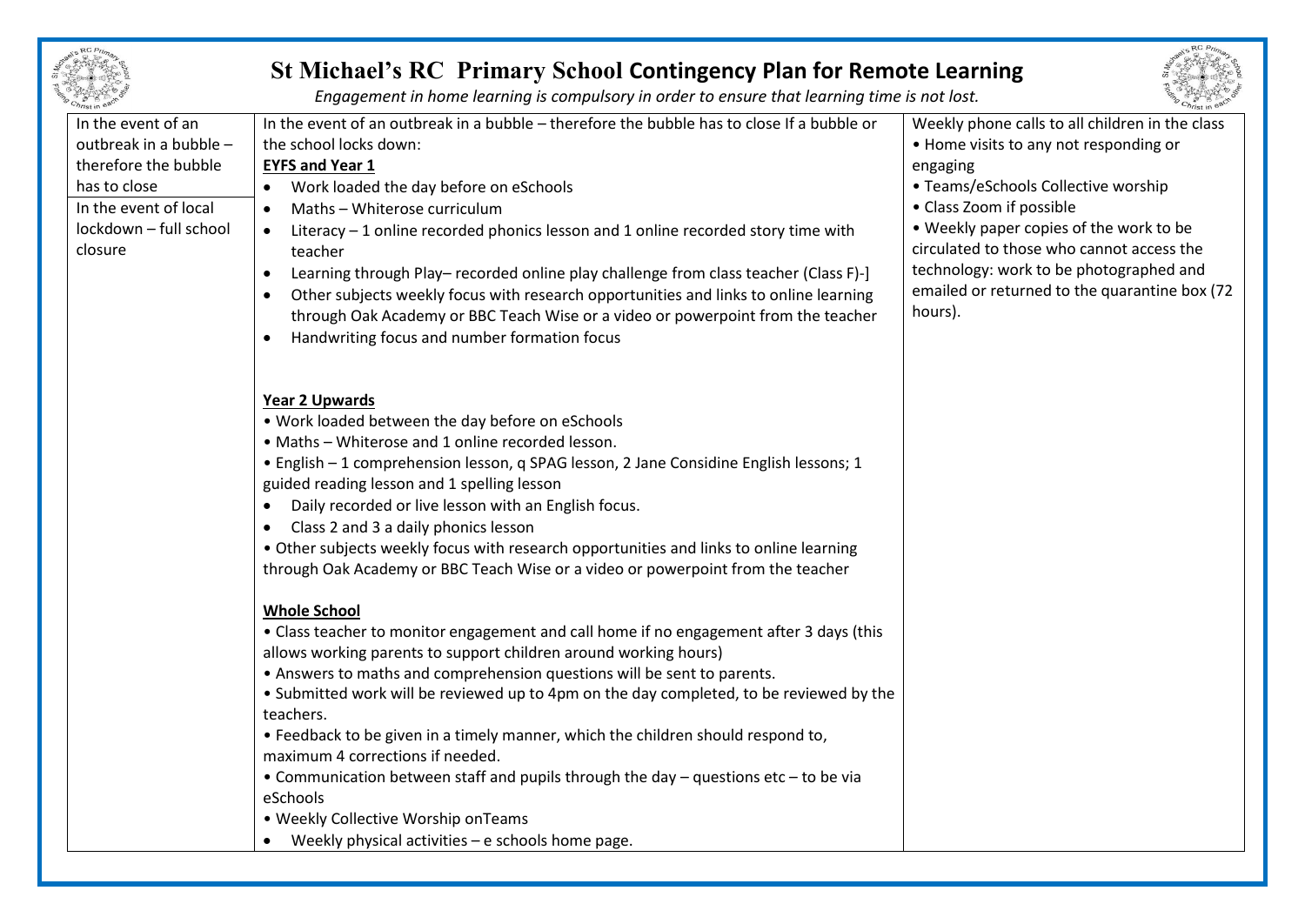

# **St Michael's RC Primary School Contingency Plan for Remote Learning**

*Engagement in home learning is compulsory in order to ensure that learning time is not lost.*

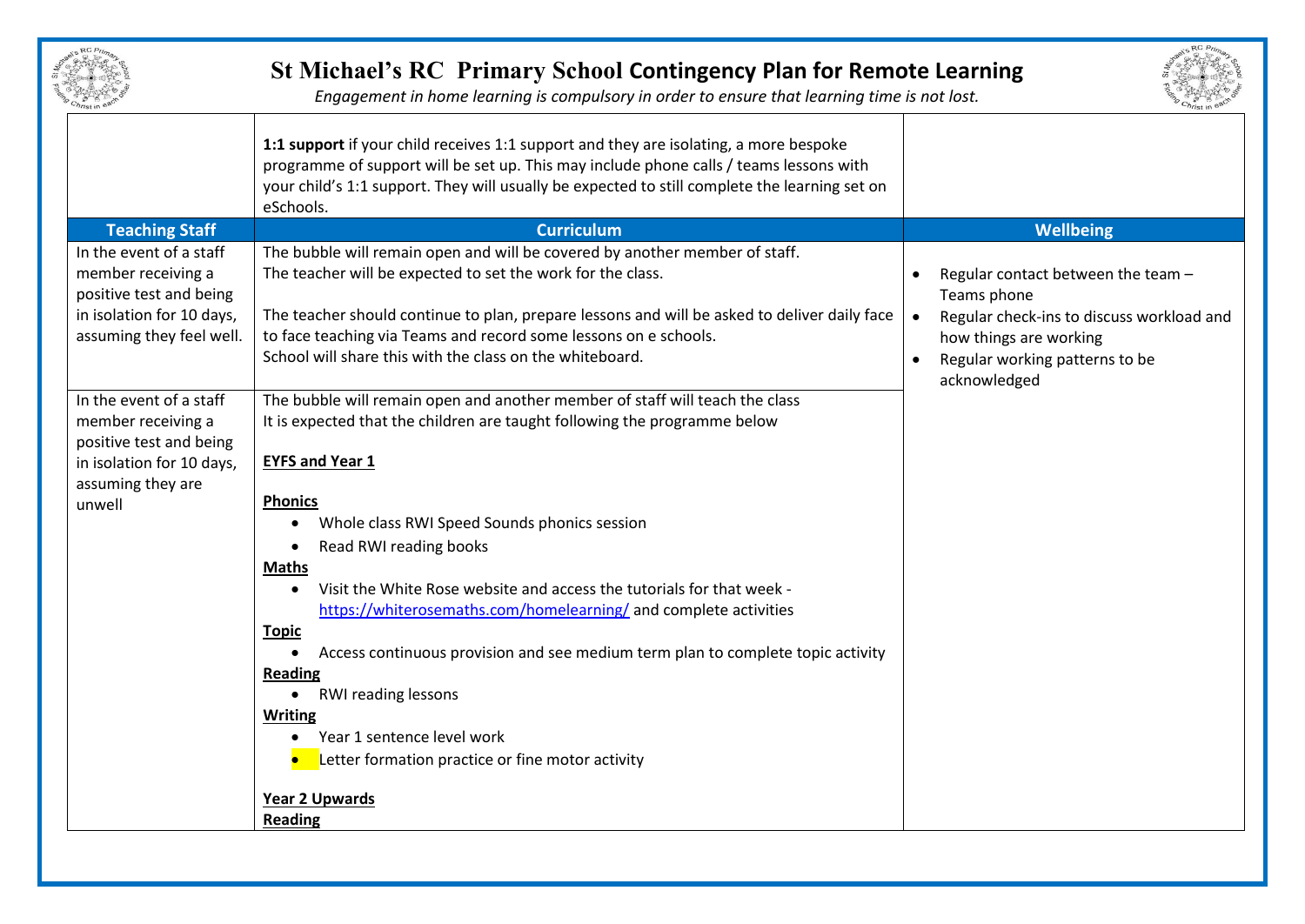| $2e^{t}$    | RC Prima   |           |
|-------------|------------|-----------|
|             |            | ngan<br>S |
|             |            |           |
| <b>TOMO</b> |            | ē         |
|             | Christ III | $a^2$     |

# **St Michael's RC Primary School Contingency Plan for Remote Learning**



*Engagement in home learning is compulsory in order to ensure that learning time is not lost.*

|                                                                                                                                   | 1:1 support if your child receives 1:1 support and they are isolating, a more bespoke<br>programme of support will be set up. This may include phone calls / teams lessons with<br>your child's 1:1 support. They will usually be expected to still complete the learning set on<br>eSchools.                                                                                                                                                                                                                                             |                                                                                                                                                                                         |
|-----------------------------------------------------------------------------------------------------------------------------------|-------------------------------------------------------------------------------------------------------------------------------------------------------------------------------------------------------------------------------------------------------------------------------------------------------------------------------------------------------------------------------------------------------------------------------------------------------------------------------------------------------------------------------------------|-----------------------------------------------------------------------------------------------------------------------------------------------------------------------------------------|
| <b>Teaching Staff</b>                                                                                                             | <b>Curriculum</b>                                                                                                                                                                                                                                                                                                                                                                                                                                                                                                                         | <b>Wellbeing</b>                                                                                                                                                                        |
| In the event of a staff<br>member receiving a<br>positive test and being<br>in isolation for 10 days,<br>assuming they feel well. | The bubble will remain open and will be covered by another member of staff.<br>The teacher will be expected to set the work for the class.<br>The teacher should continue to plan, prepare lessons and will be asked to deliver daily face<br>to face teaching via Teams and record some lessons on e schools.<br>School will share this with the class on the whiteboard.                                                                                                                                                                | Regular contact between the team -<br>Teams phone<br>Regular check-ins to discuss workload and<br>how things are working<br>Regular working patterns to be<br>$\bullet$<br>acknowledged |
| In the event of a staff<br>member receiving a<br>positive test and being<br>in isolation for 10 days,<br>assuming they are        | The bubble will remain open and another member of staff will teach the class<br>It is expected that the children are taught following the programme below<br><b>EYFS and Year 1</b>                                                                                                                                                                                                                                                                                                                                                       |                                                                                                                                                                                         |
| unwell                                                                                                                            | <b>Phonics</b><br>Whole class RWI Speed Sounds phonics session<br>Read RWI reading books<br><b>Maths</b><br>Visit the White Rose website and access the tutorials for that week -<br>https://whiterosemaths.com/homelearning/ and complete activities<br><b>Topic</b><br>Access continuous provision and see medium term plan to complete topic activity<br><b>Reading</b><br>RWI reading lessons<br>Writing<br>Year 1 sentence level work<br>Letter formation practice or fine motor activity<br><b>Year 2 Upwards</b><br><b>Reading</b> |                                                                                                                                                                                         |